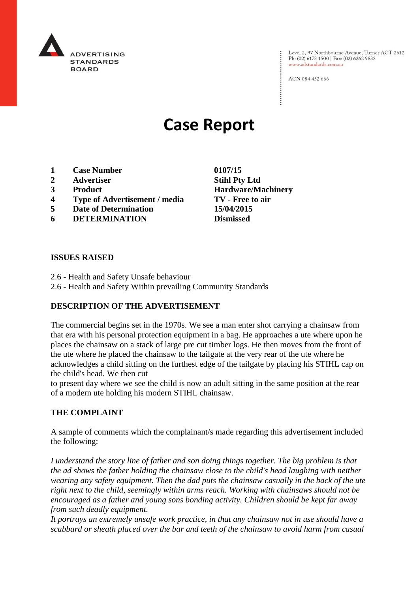

Level 2, 97 Northbourne Avenue, Turner ACT 2612 Ph: (02) 6173 1500 | Fax: (02) 6262 9833 www.adstandards.com.au

ACN 084 452 666

# **Case Report**

- **1 Case Number 0107/15**
- **2 Advertiser Stihl Pty Ltd**
- **3 Product Hardware/Machinery**
- **4 Type of Advertisement / media TV - Free to air**
- **5 Date of Determination 15/04/2015**
- **6 DETERMINATION Dismissed**

**ISSUES RAISED**

- 2.6 Health and Safety Unsafe behaviour
- 2.6 Health and Safety Within prevailing Community Standards

## **DESCRIPTION OF THE ADVERTISEMENT**

The commercial begins set in the 1970s. We see a man enter shot carrying a chainsaw from that era with his personal protection equipment in a bag. He approaches a ute where upon he places the chainsaw on a stack of large pre cut timber logs. He then moves from the front of the ute where he placed the chainsaw to the tailgate at the very rear of the ute where he acknowledges a child sitting on the furthest edge of the tailgate by placing his STIHL cap on the child's head. We then cut

to present day where we see the child is now an adult sitting in the same position at the rear of a modern ute holding his modern STIHL chainsaw.

#### **THE COMPLAINT**

A sample of comments which the complainant/s made regarding this advertisement included the following:

*I* understand the story line of father and son doing things together. The big problem is that *the ad shows the father holding the chainsaw close to the child's head laughing with neither wearing any safety equipment. Then the dad puts the chainsaw casually in the back of the ute right next to the child, seemingly within arms reach. Working with chainsaws should not be encouraged as a father and young sons bonding activity. Children should be kept far away from such deadly equipment.*

*It portrays an extremely unsafe work practice, in that any chainsaw not in use should have a scabbard or sheath placed over the bar and teeth of the chainsaw to avoid harm from casual*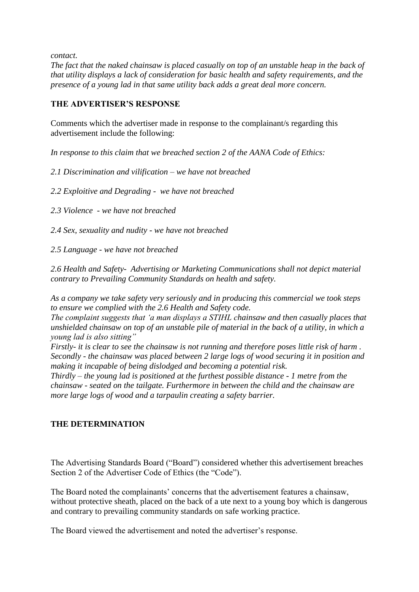*contact.*

*The fact that the naked chainsaw is placed casually on top of an unstable heap in the back of that utility displays a lack of consideration for basic health and safety requirements, and the presence of a young lad in that same utility back adds a great deal more concern.*

### **THE ADVERTISER'S RESPONSE**

Comments which the advertiser made in response to the complainant/s regarding this advertisement include the following:

*In response to this claim that we breached section 2 of the AANA Code of Ethics:*

*2.1 Discrimination and vilification – we have not breached*

*2.2 Exploitive and Degrading - we have not breached* 

*2.3 Violence - we have not breached*

*2.4 Sex, sexuality and nudity - we have not breached*

*2.5 Language - we have not breached*

*2.6 Health and Safety- Advertising or Marketing Communications shall not depict material contrary to Prevailing Community Standards on health and safety.* 

*As a company we take safety very seriously and in producing this commercial we took steps to ensure we complied with the 2.6 Health and Safety code.*

*The complaint suggests that 'a man displays a STIHL chainsaw and then casually places that unshielded chainsaw on top of an unstable pile of material in the back of a utility, in which a young lad is also sitting"*

*Firstly- it is clear to see the chainsaw is not running and therefore poses little risk of harm . Secondly - the chainsaw was placed between 2 large logs of wood securing it in position and making it incapable of being dislodged and becoming a potential risk.*

*Thirdly – the young lad is positioned at the furthest possible distance - 1 metre from the chainsaw - seated on the tailgate. Furthermore in between the child and the chainsaw are more large logs of wood and a tarpaulin creating a safety barrier.*

## **THE DETERMINATION**

The Advertising Standards Board ("Board") considered whether this advertisement breaches Section 2 of the Advertiser Code of Ethics (the "Code").

The Board noted the complainants' concerns that the advertisement features a chainsaw, without protective sheath, placed on the back of a ute next to a young boy which is dangerous and contrary to prevailing community standards on safe working practice.

The Board viewed the advertisement and noted the advertiser's response.